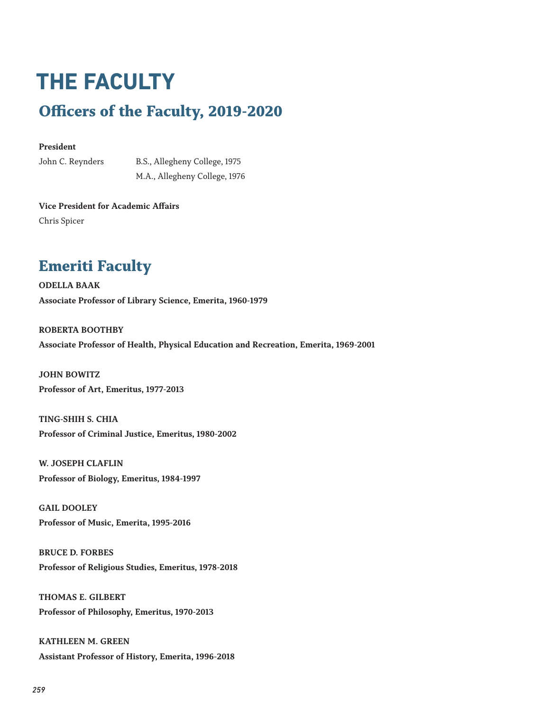# **THE FACULTY Officers of the Faculty, 2019-2020**

#### **President**

John C. Reynders B.S., Allegheny College, 1975 M.A., Allegheny College, 1976

**Vice President for Academic Affairs** Chris Spicer

### **Emeriti Faculty**

**ODELLA BAAK Associate Professor of Library Science, Emerita, 1960-1979**

**ROBERTA BOOTHBY Associate Professor of Health, Physical Education and Recreation, Emerita, 1969-2001**

**JOHN BOWITZ Professor of Art, Emeritus, 1977-2013**

**TING-SHIH S. CHIA Professor of Criminal Justice, Emeritus, 1980-2002**

**W. JOSEPH CLAFLIN Professor of Biology, Emeritus, 1984-1997**

**GAIL DOOLEY Professor of Music, Emerita, 1995-2016**

**BRUCE D. FORBES Professor of Religious Studies, Emeritus, 1978-2018**

**THOMAS E. GILBERT Professor of Philosophy, Emeritus, 1970-2013**

**KATHLEEN M. GREEN Assistant Professor of History, Emerita, 1996-2018**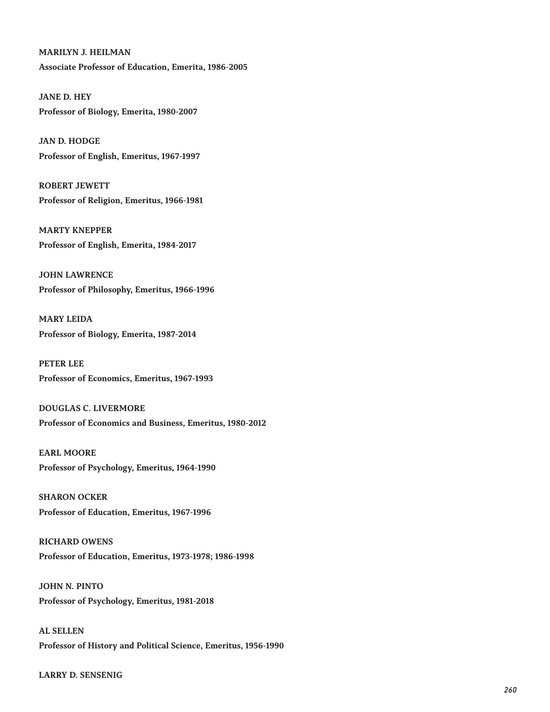#### **MARILYN J. HEILMAN**

**Associate Professor of Education, Emerita, 1986-2005**

**JANE D. HEY Professor of Biology, Emerita, 1980-2007**

**JAN D. HODGE Professor of English, Emeritus, 1967-1997**

**ROBERT JEWETT Professor of Religion, Emeritus, 1966-1981**

**MARTY KNEPPER Professor of English, Emerita, 1984-2017**

**JOHN LAWRENCE Professor of Philosophy, Emeritus, 1966-1996**

**MARY LEIDA Professor of Biology, Emerita, 1987-2014**

**PETER LEE Professor of Economics, Emeritus, 1967-1993**

**DOUGLAS C. LIVERMORE Professor of Economics and Business, Emeritus, 1980-2012**

**EARL MOORE Professor of Psychology, Emeritus, 1964-1990**

**SHARON OCKER Professor of Education, Emeritus, 1967-1996**

**RICHARD OWENS Professor of Education, Emeritus, 1973-1978; 1986-1998**

**JOHN N. PINTO Professor of Psychology, Emeritus, 1981-2018**

**AL SELLEN Professor of History and Political Science, Emeritus, 1956-1990**

**LARRY D. SENSENIG**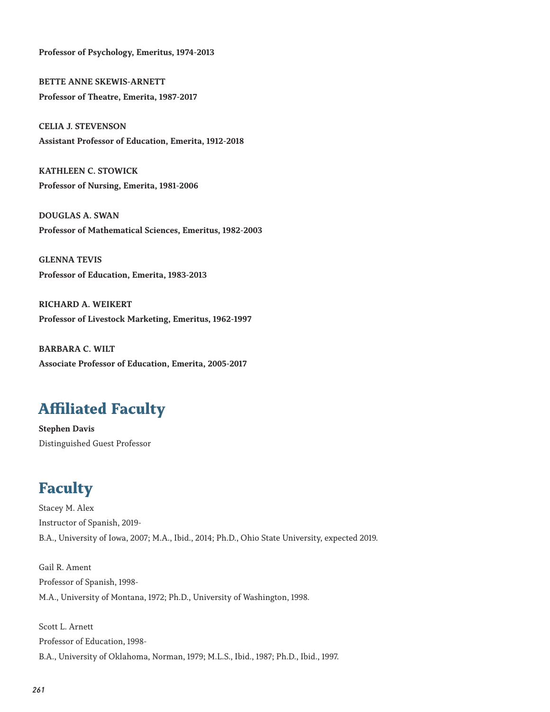**Professor of Psychology, Emeritus, 1974-2013**

**BETTE ANNE SKEWIS-ARNETT Professor of Theatre, Emerita, 1987-2017**

**CELIA J. STEVENSON Assistant Professor of Education, Emerita, 1912-2018**

**KATHLEEN C. STOWICK Professor of Nursing, Emerita, 1981-2006**

**DOUGLAS A. SWAN Professor of Mathematical Sciences, Emeritus, 1982-2003**

**GLENNA TEVIS Professor of Education, Emerita, 1983-2013**

**RICHARD A. WEIKERT Professor of Livestock Marketing, Emeritus, 1962-1997**

**BARBARA C. WILT Associate Professor of Education, Emerita, 2005-2017**

### **Affiliated Faculty**

**Stephen Davis** Distinguished Guest Professor

## **Faculty**

Stacey M. Alex Instructor of Spanish, 2019- B.A., University of Iowa, 2007; M.A., Ibid., 2014; Ph.D., Ohio State University, expected 2019.

Gail R. Ament Professor of Spanish, 1998- M.A., University of Montana, 1972; Ph.D., University of Washington, 1998.

Scott L. Arnett Professor of Education, 1998- B.A., University of Oklahoma, Norman, 1979; M.L.S., Ibid., 1987; Ph.D., Ibid., 1997.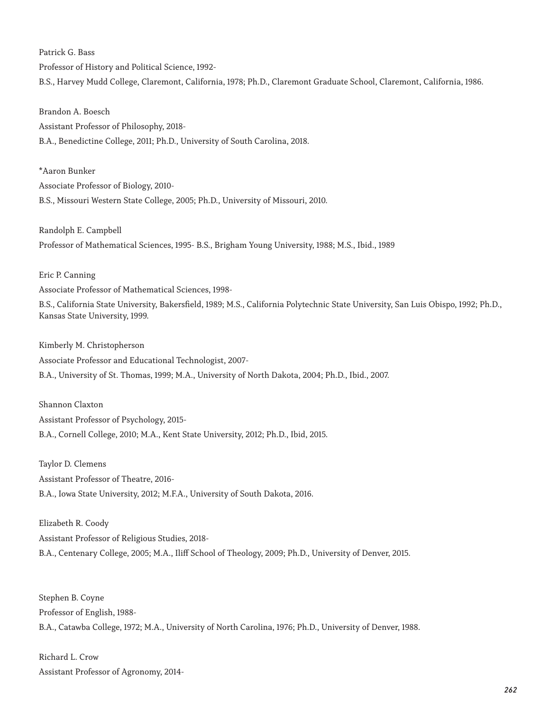Patrick G. Bass Professor of History and Political Science, 1992- B.S., Harvey Mudd College, Claremont, California, 1978; Ph.D., Claremont Graduate School, Claremont, California, 1986.

Brandon A. Boesch Assistant Professor of Philosophy, 2018- B.A., Benedictine College, 2011; Ph.D., University of South Carolina, 2018.

\*Aaron Bunker Associate Professor of Biology, 2010- B.S., Missouri Western State College, 2005; Ph.D., University of Missouri, 2010.

Randolph E. Campbell Professor of Mathematical Sciences, 1995- B.S., Brigham Young University, 1988; M.S., Ibid., 1989

Eric P. Canning Associate Professor of Mathematical Sciences, 1998-

B.S., California State University, Bakersfield, 1989; M.S., California Polytechnic State University, San Luis Obispo, 1992; Ph.D., Kansas State University, 1999.

Kimberly M. Christopherson

Associate Professor and Educational Technologist, 2007-

B.A., University of St. Thomas, 1999; M.A., University of North Dakota, 2004; Ph.D., Ibid., 2007.

Shannon Claxton Assistant Professor of Psychology, 2015- B.A., Cornell College, 2010; M.A., Kent State University, 2012; Ph.D., Ibid, 2015.

Taylor D. Clemens Assistant Professor of Theatre, 2016- B.A., Iowa State University, 2012; M.F.A., University of South Dakota, 2016.

Elizabeth R. Coody Assistant Professor of Religious Studies, 2018- B.A., Centenary College, 2005; M.A., Iliff School of Theology, 2009; Ph.D., University of Denver, 2015.

Stephen B. Coyne Professor of English, 1988- B.A., Catawba College, 1972; M.A., University of North Carolina, 1976; Ph.D., University of Denver, 1988.

Richard L. Crow Assistant Professor of Agronomy, 2014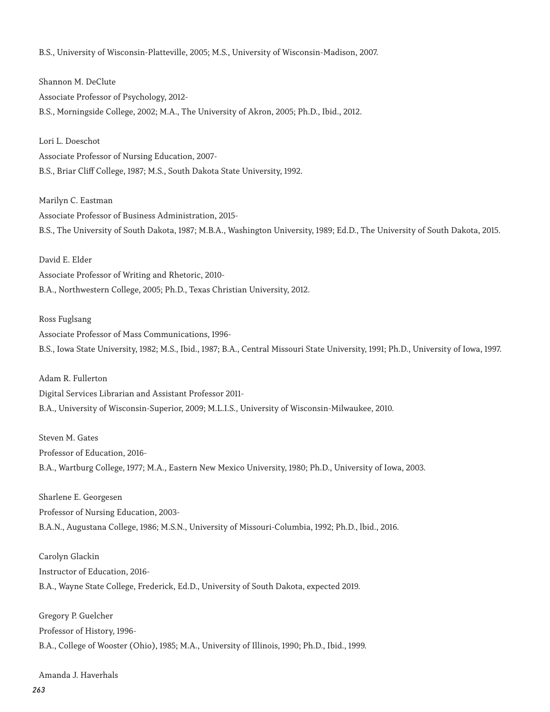B.S., University of Wisconsin-Platteville, 2005; M.S., University of Wisconsin-Madison, 2007.

Shannon M. DeClute Associate Professor of Psychology, 2012- B.S., Morningside College, 2002; M.A., The University of Akron, 2005; Ph.D., Ibid., 2012.

Lori L. Doeschot Associate Professor of Nursing Education, 2007- B.S., Briar Cliff College, 1987; M.S., South Dakota State University, 1992.

Marilyn C. Eastman Associate Professor of Business Administration, 2015- B.S., The University of South Dakota, 1987; M.B.A., Washington University, 1989; Ed.D., The University of South Dakota, 2015.

David E. Elder Associate Professor of Writing and Rhetoric, 2010- B.A., Northwestern College, 2005; Ph.D., Texas Christian University, 2012.

Ross Fuglsang

Associate Professor of Mass Communications, 1996- B.S., Iowa State University, 1982; M.S., Ibid., 1987; B.A., Central Missouri State University, 1991; Ph.D., University of Iowa, 1997.

Adam R. Fullerton Digital Services Librarian and Assistant Professor 2011- B.A., University of Wisconsin-Superior, 2009; M.L.I.S., University of Wisconsin-Milwaukee, 2010.

Steven M. Gates Professor of Education, 2016- B.A., Wartburg College, 1977; M.A., Eastern New Mexico University, 1980; Ph.D., University of Iowa, 2003.

Sharlene E. Georgesen Professor of Nursing Education, 2003- B.A.N., Augustana College, 1986; M.S.N., University of Missouri-Columbia, 1992; Ph.D., lbid., 2016.

Carolyn Glackin Instructor of Education, 2016- B.A., Wayne State College, Frederick, Ed.D., University of South Dakota, expected 2019.

Gregory P. Guelcher Professor of History, 1996- B.A., College of Wooster (Ohio), 1985; M.A., University of Illinois, 1990; Ph.D., Ibid., 1999.

Amanda J. Haverhals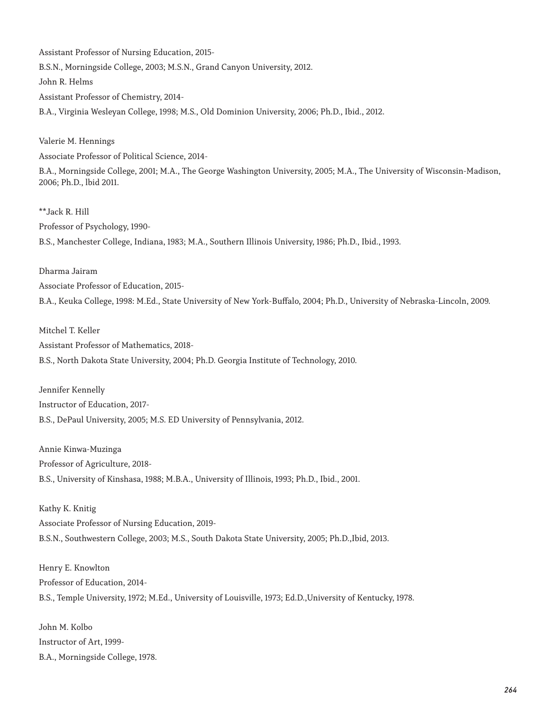Assistant Professor of Nursing Education, 2015- B.S.N., Morningside College, 2003; M.S.N., Grand Canyon University, 2012. John R. Helms Assistant Professor of Chemistry, 2014- B.A., Virginia Wesleyan College, 1998; M.S., Old Dominion University, 2006; Ph.D., Ibid., 2012.

Valerie M. Hennings

Associate Professor of Political Science, 2014-

B.A., Morningside College, 2001; M.A., The George Washington University, 2005; M.A., The University of Wisconsin-Madison, 2006; Ph.D., lbid 2011.

\*\*Jack R. Hill Professor of Psychology, 1990- B.S., Manchester College, Indiana, 1983; M.A., Southern Illinois University, 1986; Ph.D., Ibid., 1993.

Dharma Jairam Associate Professor of Education, 2015- B.A., Keuka College, 1998: M.Ed., State University of New York-Buffalo, 2004; Ph.D., University of Nebraska-Lincoln, 2009.

Mitchel T. Keller Assistant Professor of Mathematics, 2018- B.S., North Dakota State University, 2004; Ph.D. Georgia Institute of Technology, 2010.

Jennifer Kennelly Instructor of Education, 2017- B.S., DePaul University, 2005; M.S. ED University of Pennsylvania, 2012.

Annie Kinwa-Muzinga Professor of Agriculture, 2018- B.S., University of Kinshasa, 1988; M.B.A., University of Illinois, 1993; Ph.D., Ibid., 2001.

Kathy K. Knitig Associate Professor of Nursing Education, 2019- B.S.N., Southwestern College, 2003; M.S., South Dakota State University, 2005; Ph.D.,Ibid, 2013.

Henry E. Knowlton Professor of Education, 2014- B.S., Temple University, 1972; M.Ed., University of Louisville, 1973; Ed.D.,University of Kentucky, 1978.

John M. Kolbo Instructor of Art, 1999- B.A., Morningside College, 1978.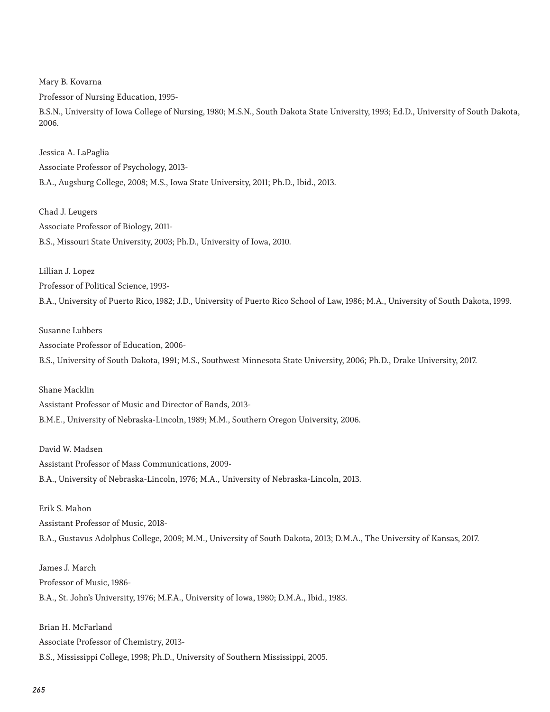Mary B. Kovarna

Professor of Nursing Education, 1995-

B.S.N., University of Iowa College of Nursing, 1980; M.S.N., South Dakota State University, 1993; Ed.D., University of South Dakota, 2006.

Jessica A. LaPaglia Associate Professor of Psychology, 2013- B.A., Augsburg College, 2008; M.S., Iowa State University, 2011; Ph.D., Ibid., 2013.

Chad J. Leugers Associate Professor of Biology, 2011- B.S., Missouri State University, 2003; Ph.D., University of Iowa, 2010.

Lillian J. Lopez Professor of Political Science, 1993-

B.A., University of Puerto Rico, 1982; J.D., University of Puerto Rico School of Law, 1986; M.A., University of South Dakota, 1999.

#### Susanne Lubbers

Associate Professor of Education, 2006-

B.S., University of South Dakota, 1991; M.S., Southwest Minnesota State University, 2006; Ph.D., Drake University, 2017.

#### Shane Macklin

Assistant Professor of Music and Director of Bands, 2013- B.M.E., University of Nebraska-Lincoln, 1989; M.M., Southern Oregon University, 2006.

#### David W. Madsen

Assistant Professor of Mass Communications, 2009- B.A., University of Nebraska-Lincoln, 1976; M.A., University of Nebraska-Lincoln, 2013.

#### Erik S. Mahon

Assistant Professor of Music, 2018- B.A., Gustavus Adolphus College, 2009; M.M., University of South Dakota, 2013; D.M.A., The University of Kansas, 2017.

### James J. March Professor of Music, 1986-

B.A., St. John's University, 1976; M.F.A., University of Iowa, 1980; D.M.A., Ibid., 1983.

Brian H. McFarland Associate Professor of Chemistry, 2013- B.S., Mississippi College, 1998; Ph.D., University of Southern Mississippi, 2005.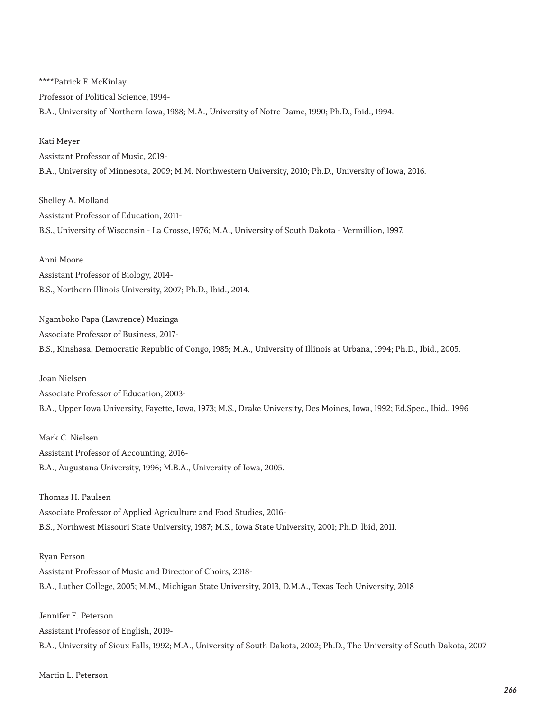\*\*\*\*Patrick F. McKinlay Professor of Political Science, 1994- B.A., University of Northern Iowa, 1988; M.A., University of Notre Dame, 1990; Ph.D., Ibid., 1994.

Kati Meyer Assistant Professor of Music, 2019- B.A., University of Minnesota, 2009; M.M. Northwestern University, 2010; Ph.D., University of Iowa, 2016.

Shelley A. Molland Assistant Professor of Education, 2011- B.S., University of Wisconsin - La Crosse, 1976; M.A., University of South Dakota - Vermillion, 1997.

Anni Moore Assistant Professor of Biology, 2014- B.S., Northern Illinois University, 2007; Ph.D., Ibid., 2014.

Ngamboko Papa (Lawrence) Muzinga Associate Professor of Business, 2017- B.S., Kinshasa, Democratic Republic of Congo, 1985; M.A., University of Illinois at Urbana, 1994; Ph.D., Ibid., 2005.

Joan Nielsen Associate Professor of Education, 2003- B.A., Upper Iowa University, Fayette, Iowa, 1973; M.S., Drake University, Des Moines, Iowa, 1992; Ed.Spec., Ibid., 1996

Mark C. Nielsen Assistant Professor of Accounting, 2016- B.A., Augustana University, 1996; M.B.A., University of Iowa, 2005.

Thomas H. Paulsen Associate Professor of Applied Agriculture and Food Studies, 2016- B.S., Northwest Missouri State University, 1987; M.S., Iowa State University, 2001; Ph.D. lbid, 2011.

Ryan Person Assistant Professor of Music and Director of Choirs, 2018- B.A., Luther College, 2005; M.M., Michigan State University, 2013, D.M.A., Texas Tech University, 2018

Jennifer E. Peterson Assistant Professor of English, 2019- B.A., University of Sioux Falls, 1992; M.A., University of South Dakota, 2002; Ph.D., The University of South Dakota, 2007

Martin L. Peterson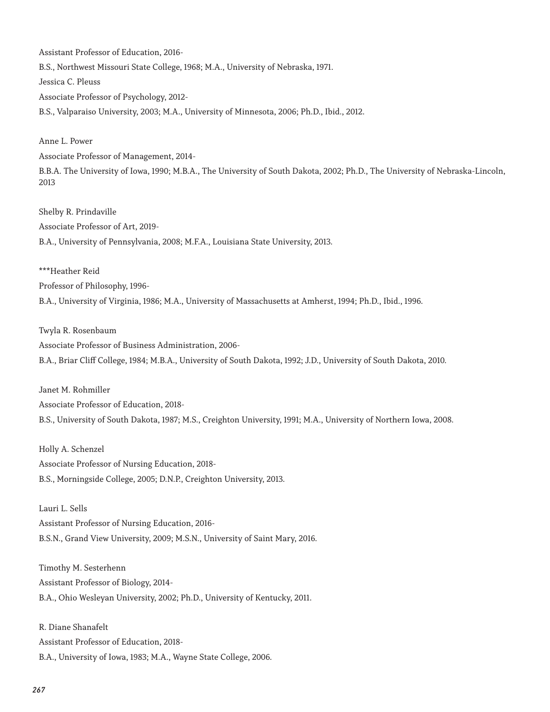Assistant Professor of Education, 2016- B.S., Northwest Missouri State College, 1968; M.A., University of Nebraska, 1971. Jessica C. Pleuss Associate Professor of Psychology, 2012- B.S., Valparaiso University, 2003; M.A., University of Minnesota, 2006; Ph.D., Ibid., 2012.

Anne L. Power

Associate Professor of Management, 2014-

B.B.A. The University of Iowa, 1990; M.B.A., The University of South Dakota, 2002; Ph.D., The University of Nebraska-Lincoln, 2013

Shelby R. Prindaville Associate Professor of Art, 2019- B.A., University of Pennsylvania, 2008; M.F.A., Louisiana State University, 2013.

\*\*\*Heather Reid

Professor of Philosophy, 1996-

B.A., University of Virginia, 1986; M.A., University of Massachusetts at Amherst, 1994; Ph.D., Ibid., 1996.

Twyla R. Rosenbaum

Associate Professor of Business Administration, 2006- B.A., Briar Cliff College, 1984; M.B.A., University of South Dakota, 1992; J.D., University of South Dakota, 2010.

Janet M. Rohmiller

Associate Professor of Education, 2018- B.S., University of South Dakota, 1987; M.S., Creighton University, 1991; M.A., University of Northern Iowa, 2008.

Holly A. Schenzel Associate Professor of Nursing Education, 2018- B.S., Morningside College, 2005; D.N.P., Creighton University, 2013.

Lauri L. Sells

Assistant Professor of Nursing Education, 2016- B.S.N., Grand View University, 2009; M.S.N., University of Saint Mary, 2016.

Timothy M. Sesterhenn Assistant Professor of Biology, 2014- B.A., Ohio Wesleyan University, 2002; Ph.D., University of Kentucky, 2011.

R. Diane Shanafelt Assistant Professor of Education, 2018- B.A., University of Iowa, 1983; M.A., Wayne State College, 2006.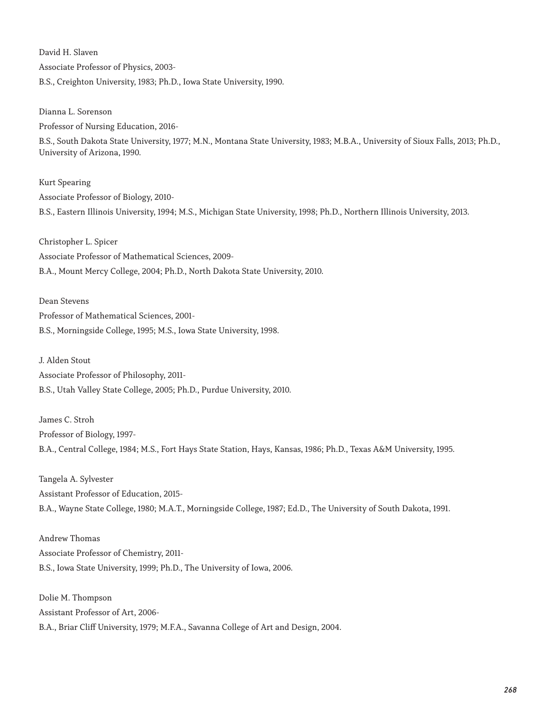David H. Slaven Associate Professor of Physics, 2003- B.S., Creighton University, 1983; Ph.D., Iowa State University, 1990.

Dianna L. Sorenson Professor of Nursing Education, 2016-

B.S., South Dakota State University, 1977; M.N., Montana State University, 1983; M.B.A., University of Sioux Falls, 2013; Ph.D., University of Arizona, 1990.

Kurt Spearing Associate Professor of Biology, 2010- B.S., Eastern Illinois University, 1994; M.S., Michigan State University, 1998; Ph.D., Northern Illinois University, 2013.

Christopher L. Spicer Associate Professor of Mathematical Sciences, 2009- B.A., Mount Mercy College, 2004; Ph.D., North Dakota State University, 2010.

Dean Stevens Professor of Mathematical Sciences, 2001- B.S., Morningside College, 1995; M.S., Iowa State University, 1998.

J. Alden Stout Associate Professor of Philosophy, 2011- B.S., Utah Valley State College, 2005; Ph.D., Purdue University, 2010.

James C. Stroh Professor of Biology, 1997- B.A., Central College, 1984; M.S., Fort Hays State Station, Hays, Kansas, 1986; Ph.D., Texas A&M University, 1995.

Tangela A. Sylvester Assistant Professor of Education, 2015- B.A., Wayne State College, 1980; M.A.T., Morningside College, 1987; Ed.D., The University of South Dakota, 1991.

Andrew Thomas Associate Professor of Chemistry, 2011- B.S., Iowa State University, 1999; Ph.D., The University of Iowa, 2006.

Dolie M. Thompson Assistant Professor of Art, 2006- B.A., Briar Cliff University, 1979; M.F.A., Savanna College of Art and Design, 2004.